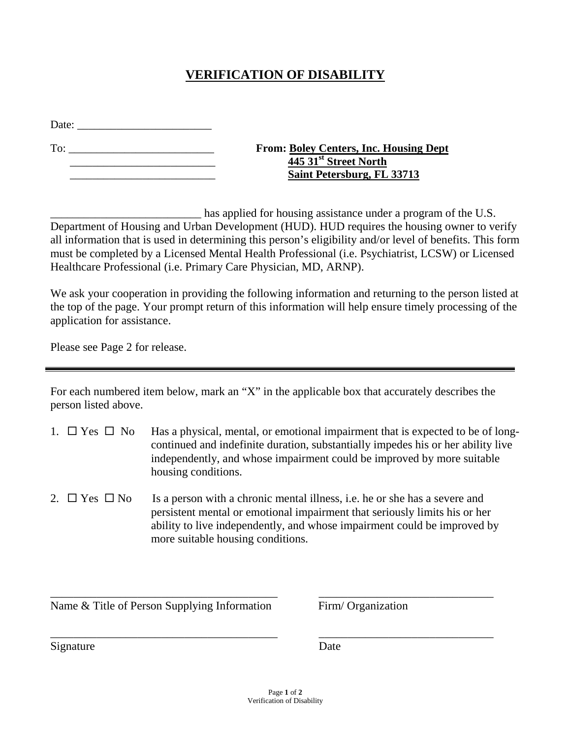## **VERIFICATION OF DISABILITY**

Date:

## To: \_\_\_\_\_\_\_\_\_\_\_\_\_\_\_\_\_\_\_\_\_\_\_\_\_\_ **From: Boley Centers, Inc. Housing Dept** \_\_\_\_\_\_\_\_\_\_\_\_\_\_\_\_\_\_\_\_\_\_\_\_\_\_ **445 31st Street North** \_\_\_\_\_\_\_\_\_\_\_\_\_\_\_\_\_\_\_\_\_\_\_\_\_\_ **Saint Petersburg, FL 33713**

has applied for housing assistance under a program of the U.S. Department of Housing and Urban Development (HUD). HUD requires the housing owner to verify all information that is used in determining this person's eligibility and/or level of benefits. This form must be completed by a Licensed Mental Health Professional (i.e. Psychiatrist, LCSW) or Licensed Healthcare Professional (i.e. Primary Care Physician, MD, ARNP).

We ask your cooperation in providing the following information and returning to the person listed at the top of the page. Your prompt return of this information will help ensure timely processing of the application for assistance.

Please see Page 2 for release.

For each numbered item below, mark an "X" in the applicable box that accurately describes the person listed above.

- 1.  $\Box$  Yes  $\Box$  No Has a physical, mental, or emotional impairment that is expected to be of longcontinued and indefinite duration, substantially impedes his or her ability live independently, and whose impairment could be improved by more suitable housing conditions.
- 2.  $\Box$  Yes  $\Box$  No Is a person with a chronic mental illness, i.e. he or she has a severe and persistent mental or emotional impairment that seriously limits his or her ability to live independently, and whose impairment could be improved by more suitable housing conditions.

\_\_\_\_\_\_\_\_\_\_\_\_\_\_\_\_\_\_\_\_\_\_\_\_\_\_\_\_\_\_\_\_\_\_\_\_\_\_\_ \_\_\_\_\_\_\_\_\_\_\_\_\_\_\_\_\_\_\_\_\_\_\_\_\_\_\_\_\_\_

\_\_\_\_\_\_\_\_\_\_\_\_\_\_\_\_\_\_\_\_\_\_\_\_\_\_\_\_\_\_\_\_\_\_\_\_\_\_\_ \_\_\_\_\_\_\_\_\_\_\_\_\_\_\_\_\_\_\_\_\_\_\_\_\_\_\_\_\_\_

Name & Title of Person Supplying Information Firm/ Organization

Signature Date